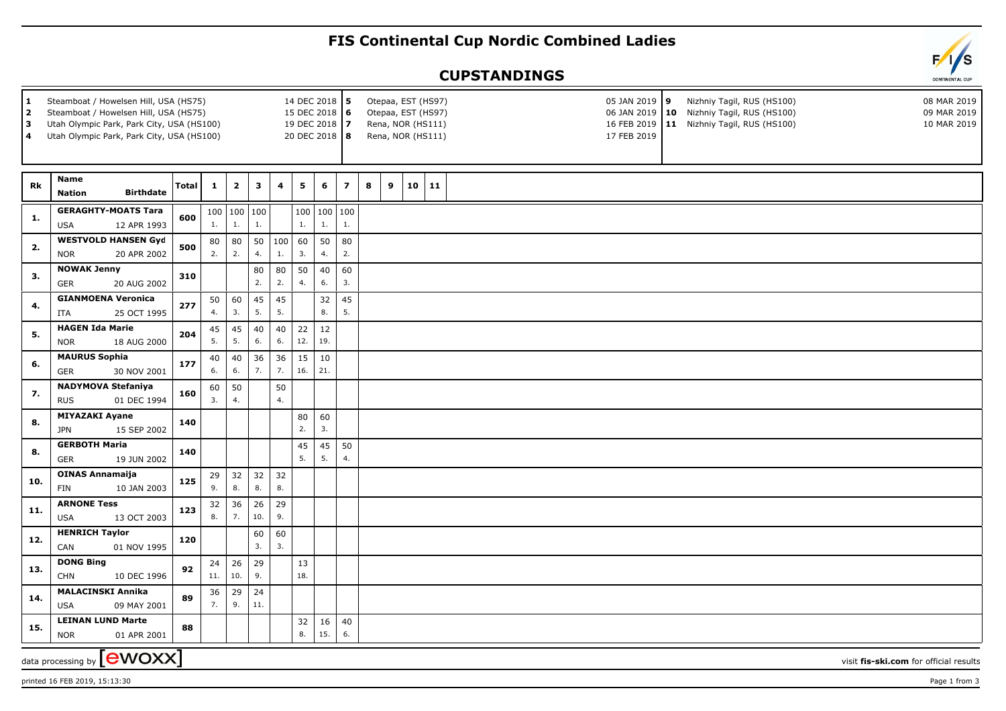## **FIS Continental Cup Nordic Combined Ladies**

## **CUPSTANDINGS**

| 14 DEC 2018 5<br>Steamboat / Howelsen Hill, USA (HS75)<br>  1<br>2<br>Steamboat / Howelsen Hill, USA (HS75)<br>15 DEC 2018 6<br>3<br>Utah Olympic Park, Park City, USA (HS100)<br>19 DEC 2018 7<br>4<br>20 DEC 2018 8<br>Utah Olympic Park, Park City, USA (HS100) |                                                         |              |              |                       |          |                |           |           |                          |        |    | Otepaa, EST (HS97)<br>Otepaa, EST (HS97)<br>Rena, NOR (HS111)<br>Rena, NOR (HS111) |  |  |  | 05 JAN 2019 9<br>17 FEB 2019 | Nizhniy Tagil, RUS (HS100)<br>06 JAN 2019 10 Nizhniy Tagil, RUS (HS100)<br>16 FEB 2019   11 Nizhniy Tagil, RUS (HS100) |  |                                        | 08 MAR 2019<br>09 MAR 2019<br>10 MAR 2019 |  |
|--------------------------------------------------------------------------------------------------------------------------------------------------------------------------------------------------------------------------------------------------------------------|---------------------------------------------------------|--------------|--------------|-----------------------|----------|----------------|-----------|-----------|--------------------------|--------|----|------------------------------------------------------------------------------------|--|--|--|------------------------------|------------------------------------------------------------------------------------------------------------------------|--|----------------------------------------|-------------------------------------------|--|
| Rk                                                                                                                                                                                                                                                                 | Name                                                    | <b>Total</b> | $\mathbf{1}$ | $\mathbf{2}$          | 3        | 4              | 5         | 6         | $\overline{\phantom{a}}$ | 8<br>9 | 10 | 11                                                                                 |  |  |  |                              |                                                                                                                        |  |                                        |                                           |  |
|                                                                                                                                                                                                                                                                    | <b>Birthdate</b><br><b>Nation</b>                       |              |              |                       |          |                |           |           |                          |        |    |                                                                                    |  |  |  |                              |                                                                                                                        |  |                                        |                                           |  |
| 1.                                                                                                                                                                                                                                                                 | <b>GERAGHTY-MOATS Tara</b><br>12 APR 1993<br><b>USA</b> | 600          | 1.           | 100   100   100<br>1. | 1.       |                | 1.        | 1.        | 100   100   100<br>1.    |        |    |                                                                                    |  |  |  |                              |                                                                                                                        |  |                                        |                                           |  |
| 2.                                                                                                                                                                                                                                                                 | <b>WESTVOLD HANSEN Gyd</b><br>20 APR 2002<br><b>NOR</b> | 500          | 80<br>2.     | 80<br>2.              | 50<br>4. | 100<br>1.      | 60<br>3.  | 50<br>4.  | 80<br>2.                 |        |    |                                                                                    |  |  |  |                              |                                                                                                                        |  |                                        |                                           |  |
| 3.                                                                                                                                                                                                                                                                 | <b>NOWAK Jenny</b>                                      | 310          |              |                       | 80<br>2. | 80<br>2.       | 50<br>4.  | 40<br>6.  | 60<br>3.                 |        |    |                                                                                    |  |  |  |                              |                                                                                                                        |  |                                        |                                           |  |
|                                                                                                                                                                                                                                                                    | 20 AUG 2002<br>GER<br><b>GIANMOENA Veronica</b>         |              |              |                       | 45       | 45             |           |           | 45                       |        |    |                                                                                    |  |  |  |                              |                                                                                                                        |  |                                        |                                           |  |
| 4.                                                                                                                                                                                                                                                                 | ITA<br>25 OCT 1995                                      | 277          | 50<br>4.     | 60<br>3.              | 5.       | 5.             |           | 32<br>8.  | 5.                       |        |    |                                                                                    |  |  |  |                              |                                                                                                                        |  |                                        |                                           |  |
|                                                                                                                                                                                                                                                                    | <b>HAGEN Ida Marie</b>                                  |              | 45           | 45                    | 40       | 40             | 22        | 12        |                          |        |    |                                                                                    |  |  |  |                              |                                                                                                                        |  |                                        |                                           |  |
| 5.                                                                                                                                                                                                                                                                 | <b>NOR</b><br>18 AUG 2000                               | 204          | 5.           | 5.                    | 6.       | 6.             | 12.       | 19.       |                          |        |    |                                                                                    |  |  |  |                              |                                                                                                                        |  |                                        |                                           |  |
| 6.                                                                                                                                                                                                                                                                 | <b>MAURUS Sophia</b>                                    | 177          | 40           | 40                    | 36       | 36             | 15        | 10        |                          |        |    |                                                                                    |  |  |  |                              |                                                                                                                        |  |                                        |                                           |  |
|                                                                                                                                                                                                                                                                    | <b>GER</b><br>30 NOV 2001                               |              | 6.           | 6.                    | 7.       | 7.             |           | 16.   21. |                          |        |    |                                                                                    |  |  |  |                              |                                                                                                                        |  |                                        |                                           |  |
| 7.                                                                                                                                                                                                                                                                 | <b>NADYMOVA Stefaniya</b><br><b>RUS</b><br>01 DEC 1994  | 160          | 60<br>3.     | 50<br>4.              |          | 50<br>4.       |           |           |                          |        |    |                                                                                    |  |  |  |                              |                                                                                                                        |  |                                        |                                           |  |
| 8.                                                                                                                                                                                                                                                                 | <b>MIYAZAKI Ayane</b><br><b>JPN</b><br>15 SEP 2002      | 140          |              |                       |          |                | 80<br>2.  | 60<br>3.  |                          |        |    |                                                                                    |  |  |  |                              |                                                                                                                        |  |                                        |                                           |  |
|                                                                                                                                                                                                                                                                    | <b>GERBOTH Maria</b>                                    |              |              |                       |          |                | 45        | 45        | 50                       |        |    |                                                                                    |  |  |  |                              |                                                                                                                        |  |                                        |                                           |  |
| 8.                                                                                                                                                                                                                                                                 | <b>GER</b><br>19 JUN 2002                               | 140          |              |                       |          |                | 5.        | 5.        | 4.                       |        |    |                                                                                    |  |  |  |                              |                                                                                                                        |  |                                        |                                           |  |
| 10.                                                                                                                                                                                                                                                                | <b>OINAS Annamaija</b><br>FIN<br>10 JAN 2003            | 125          | 29<br>9.     | 32<br>8.              | 32<br>8. | 32<br>$\bf 8.$ |           |           |                          |        |    |                                                                                    |  |  |  |                              |                                                                                                                        |  |                                        |                                           |  |
|                                                                                                                                                                                                                                                                    | <b>ARNONE Tess</b>                                      |              | 32           | 36                    | 26       | 29             |           |           |                          |        |    |                                                                                    |  |  |  |                              |                                                                                                                        |  |                                        |                                           |  |
| 11.                                                                                                                                                                                                                                                                | <b>USA</b><br>13 OCT 2003                               | 123          | 8.           | 7.                    | 10.      | 9.             |           |           |                          |        |    |                                                                                    |  |  |  |                              |                                                                                                                        |  |                                        |                                           |  |
| 12.                                                                                                                                                                                                                                                                | <b>HENRICH Taylor</b><br>CAN<br>01 NOV 1995             | 120          |              |                       | 60<br>3. | 60<br>3.       |           |           |                          |        |    |                                                                                    |  |  |  |                              |                                                                                                                        |  |                                        |                                           |  |
| 13.                                                                                                                                                                                                                                                                | <b>DONG Bing</b><br><b>CHN</b><br>10 DEC 1996           | 92           | 24<br>11.    | 26<br>10.             | 29<br>9. |                | 13<br>18. |           |                          |        |    |                                                                                    |  |  |  |                              |                                                                                                                        |  |                                        |                                           |  |
| 14.                                                                                                                                                                                                                                                                | <b>MALACINSKI Annika</b>                                | 89           | 36           | 29                    | 24       |                |           |           |                          |        |    |                                                                                    |  |  |  |                              |                                                                                                                        |  |                                        |                                           |  |
|                                                                                                                                                                                                                                                                    | <b>USA</b><br>09 MAY 2001                               |              | 7.           | 9.                    | 11.      |                |           |           |                          |        |    |                                                                                    |  |  |  |                              |                                                                                                                        |  |                                        |                                           |  |
| 15.                                                                                                                                                                                                                                                                | <b>LEINAN LUND Marte</b><br>01 APR 2001<br><b>NOR</b>   | 88           |              |                       |          |                | 32<br>8.  | 16<br>15. | 40<br>6.                 |        |    |                                                                                    |  |  |  |                              |                                                                                                                        |  |                                        |                                           |  |
|                                                                                                                                                                                                                                                                    | data processing by <b>[CWOXX]</b>                       |              |              |                       |          |                |           |           |                          |        |    |                                                                                    |  |  |  |                              |                                                                                                                        |  | visit fis-ski.com for official results |                                           |  |

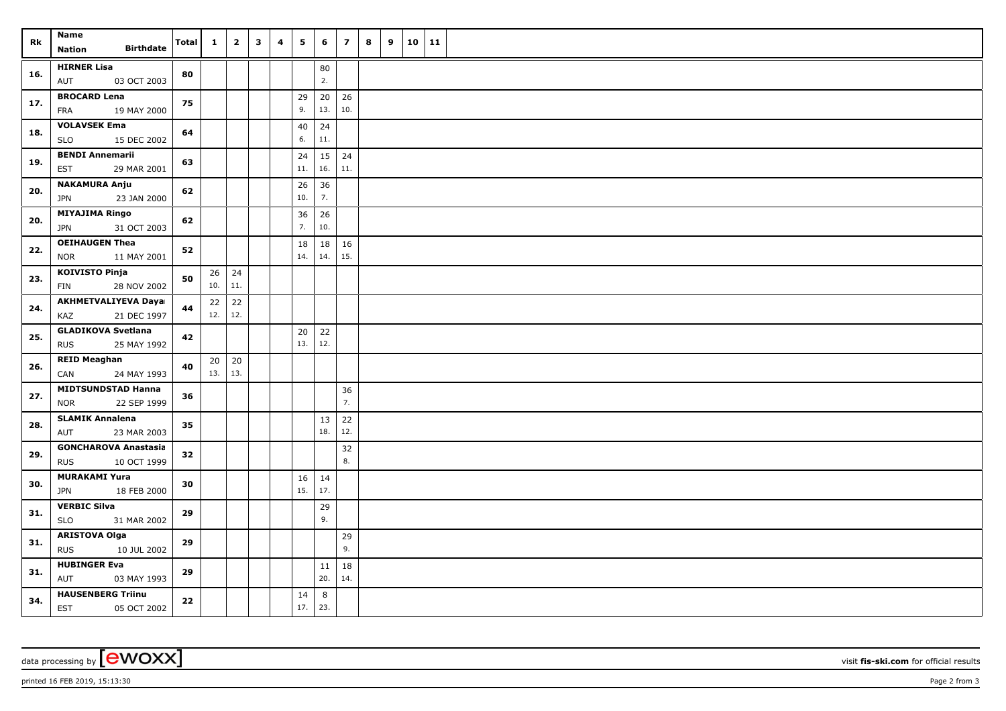| Rk  | Name<br><b>Birthdate</b><br>Nation                       | <b>Total</b> | $\mathbf{1}$ | $\overline{\mathbf{2}}$ | $\mathbf{3}$ | 4 | 5           | 6         | $\overline{z}$ | 8 | 9 | 10 11 |  |
|-----|----------------------------------------------------------|--------------|--------------|-------------------------|--------------|---|-------------|-----------|----------------|---|---|-------|--|
| 16. | <b>HIRNER Lisa</b><br>03 OCT 2003<br>AUT                 | 80           |              |                         |              |   |             | 80<br>2.  |                |   |   |       |  |
| 17. | <b>BROCARD Lena</b><br>19 MAY 2000<br>FRA                | 75           |              |                         |              |   | 29<br>9.    | 20<br>13. | 26<br>10.      |   |   |       |  |
| 18. | <b>VOLAVSEK Ema</b><br><b>SLO</b><br>15 DEC 2002         | 64           |              |                         |              |   | 40<br>6.    | 24<br>11. |                |   |   |       |  |
| 19. | <b>BENDI Annemarii</b><br><b>EST</b><br>29 MAR 2001      | 63           |              |                         |              |   | 24<br>$11.$ | 15<br>16. | 24<br>11.      |   |   |       |  |
| 20. | <b>NAKAMURA Anju</b><br>23 JAN 2000<br><b>JPN</b>        | 62           |              |                         |              |   | 26<br>10.   | 36<br>7.  |                |   |   |       |  |
| 20. | <b>MIYAJIMA Ringo</b><br>31 OCT 2003<br>JPN              | 62           |              |                         |              |   | 36<br>7.    | 26<br>10. |                |   |   |       |  |
| 22. | <b>OEIHAUGEN Thea</b><br><b>NOR</b><br>11 MAY 2001       | 52           |              |                         |              |   | 18<br>14.   | 18<br>14. | 16<br>15.      |   |   |       |  |
| 23. | <b>KOIVISTO Pinja</b><br>28 NOV 2002<br>FIN              | 50           | 10.          | $26 \mid 24$<br>11.     |              |   |             |           |                |   |   |       |  |
| 24. | <b>AKHMETVALIYEVA Daya</b><br>21 DEC 1997<br>KAZ         | 44           | 22<br>12.    | 22<br>12.               |              |   |             |           |                |   |   |       |  |
| 25. | <b>GLADIKOVA Svetlana</b><br><b>RUS</b><br>25 MAY 1992   | 42           |              |                         |              |   | 20<br>13.   | 22<br>12. |                |   |   |       |  |
| 26. | <b>REID Meaghan</b><br>24 MAY 1993<br>CAN                | 40           | 20<br>13.    | 20<br>13.               |              |   |             |           |                |   |   |       |  |
| 27. | <b>MIDTSUNDSTAD Hanna</b><br>22 SEP 1999<br><b>NOR</b>   | 36           |              |                         |              |   |             |           | 36<br>7.       |   |   |       |  |
| 28. | <b>SLAMIK Annalena</b><br>23 MAR 2003<br>AUT             | 35           |              |                         |              |   |             | 13<br>18. | $22\,$<br>12.  |   |   |       |  |
| 29. | <b>GONCHAROVA Anastasia</b><br><b>RUS</b><br>10 OCT 1999 | 32           |              |                         |              |   |             |           | 32<br>8.       |   |   |       |  |
| 30. | <b>MURAKAMI Yura</b><br>JPN<br>18 FEB 2000               | 30           |              |                         |              |   | 16<br>15.   | 14<br>17. |                |   |   |       |  |
| 31. | <b>VERBIC Silva</b><br><b>SLO</b><br>31 MAR 2002         | 29           |              |                         |              |   |             | 29<br>9.  |                |   |   |       |  |
| 31. | <b>ARISTOVA Olga</b><br><b>RUS</b><br>10 JUL 2002        | 29           |              |                         |              |   |             |           | 29<br>9.       |   |   |       |  |
| 31. | <b>HUBINGER Eva</b><br>AUT<br>03 MAY 1993                | 29           |              |                         |              |   |             | 11<br>20. | 18<br>14.      |   |   |       |  |
| 34. | <b>HAUSENBERG Triinu</b><br>EST<br>05 OCT 2002           | 22           |              |                         |              |   | 14<br>17.   | 8<br>23.  |                |   |   |       |  |

printed 16 FEB 2019, 15:13:30 Page 2 from 3